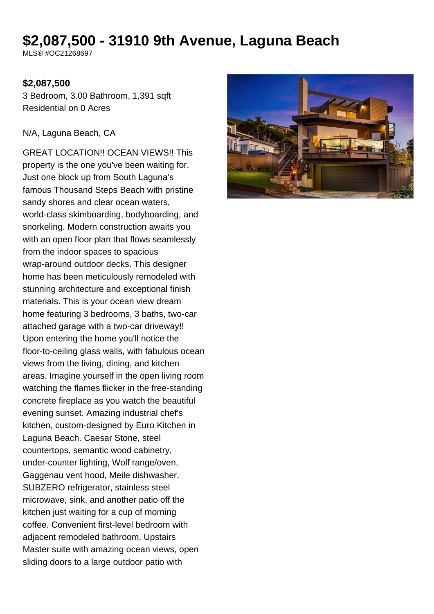# **\$2,087,500 - 31910 9th Avenue, Laguna Beach**

MLS® #OC21268697

### **\$2,087,500**

3 Bedroom, 3.00 Bathroom, 1,391 sqft Residential on 0 Acres

#### N/A, Laguna Beach, CA

GREAT LOCATION!! OCEAN VIEWS!! This property is the one you've been waiting for. Just one block up from South Laguna's famous Thousand Steps Beach with pristine sandy shores and clear ocean waters, world-class skimboarding, bodyboarding, and snorkeling. Modern construction awaits you with an open floor plan that flows seamlessly from the indoor spaces to spacious wrap-around outdoor decks. This designer home has been meticulously remodeled with stunning architecture and exceptional finish materials. This is your ocean view dream home featuring 3 bedrooms, 3 baths, two-car attached garage with a two-car driveway!! Upon entering the home you'll notice the floor-to-ceiling glass walls, with fabulous ocean views from the living, dining, and kitchen areas. Imagine yourself in the open living room watching the flames flicker in the free-standing concrete fireplace as you watch the beautiful evening sunset. Amazing industrial chef's kitchen, custom-designed by Euro Kitchen in Laguna Beach. Caesar Stone, steel countertops, semantic wood cabinetry, under-counter lighting, Wolf range/oven, Gaggenau vent hood, Meile dishwasher, SUBZERO refrigerator, stainless steel microwave, sink, and another patio off the kitchen just waiting for a cup of morning coffee. Convenient first-level bedroom with adjacent remodeled bathroom. Upstairs Master suite with amazing ocean views, open sliding doors to a large outdoor patio with

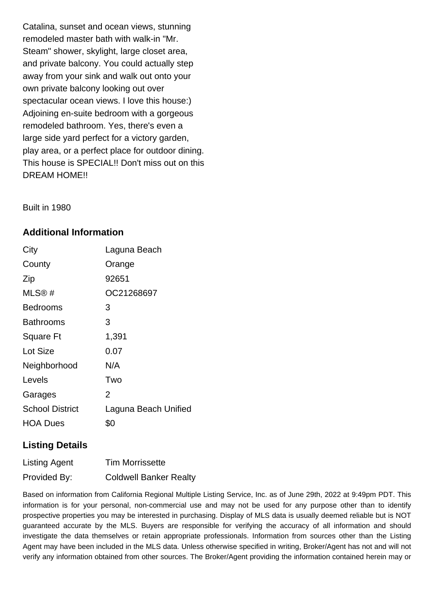Catalina, sunset and ocean views, stunning remodeled master bath with walk-in "Mr. Steam" shower, skylight, large closet area, and private balcony. You could actually step away from your sink and walk out onto your own private balcony looking out over spectacular ocean views. I love this house:) Adjoining en-suite bedroom with a gorgeous remodeled bathroom. Yes, there's even a large side yard perfect for a victory garden, play area, or a perfect place for outdoor dining. This house is SPECIAL!! Don't miss out on this DREAM HOME!!

Built in 1980

## **Additional Information**

| City                   | Laguna Beach         |
|------------------------|----------------------|
| County                 | Orange               |
| Zip                    | 92651                |
| MLS@#                  | OC21268697           |
| <b>Bedrooms</b>        | 3                    |
| Bathrooms              | 3                    |
| <b>Square Ft</b>       | 1,391                |
| Lot Size               | 0.07                 |
| Neighborhood           | N/A                  |
| Levels                 | Two                  |
| Garages                | 2                    |
| <b>School District</b> | Laguna Beach Unified |
| <b>HOA Dues</b>        | \$0                  |

## **Listing Details**

| <b>Listing Agent</b> | <b>Tim Morrissette</b>        |
|----------------------|-------------------------------|
| Provided By:         | <b>Coldwell Banker Realty</b> |

Based on information from California Regional Multiple Listing Service, Inc. as of June 29th, 2022 at 9:49pm PDT. This information is for your personal, non-commercial use and may not be used for any purpose other than to identify prospective properties you may be interested in purchasing. Display of MLS data is usually deemed reliable but is NOT guaranteed accurate by the MLS. Buyers are responsible for verifying the accuracy of all information and should investigate the data themselves or retain appropriate professionals. Information from sources other than the Listing Agent may have been included in the MLS data. Unless otherwise specified in writing, Broker/Agent has not and will not verify any information obtained from other sources. The Broker/Agent providing the information contained herein may or